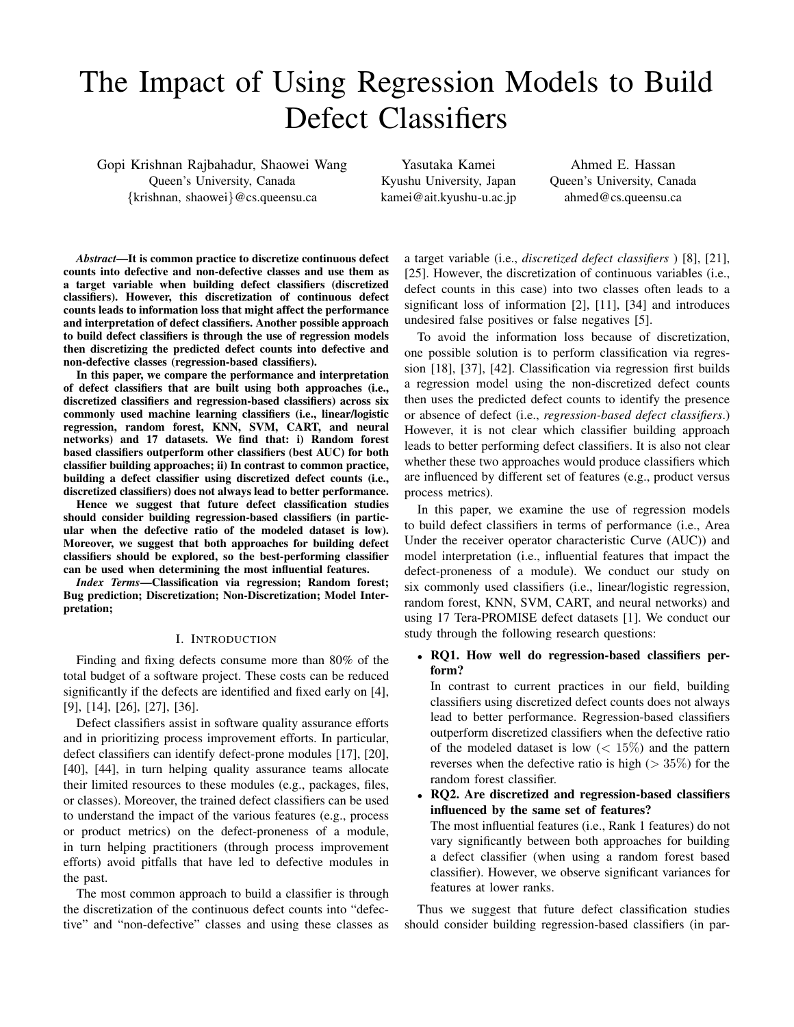# The Impact of Using Regression Models to Build Defect Classifiers

Gopi Krishnan Rajbahadur, Shaowei Wang Queen's University, Canada {krishnan, shaowei}@cs.queensu.ca

Yasutaka Kamei Kyushu University, Japan kamei@ait.kyushu-u.ac.jp

Ahmed E. Hassan Queen's University, Canada ahmed@cs.queensu.ca

*Abstract*—It is common practice to discretize continuous defect counts into defective and non-defective classes and use them as a target variable when building defect classifiers (discretized classifiers). However, this discretization of continuous defect counts leads to information loss that might affect the performance and interpretation of defect classifiers. Another possible approach to build defect classifiers is through the use of regression models then discretizing the predicted defect counts into defective and non-defective classes (regression-based classifiers).

In this paper, we compare the performance and interpretation of defect classifiers that are built using both approaches (i.e., discretized classifiers and regression-based classifiers) across six commonly used machine learning classifiers (i.e., linear/logistic regression, random forest, KNN, SVM, CART, and neural networks) and 17 datasets. We find that: i) Random forest based classifiers outperform other classifiers (best AUC) for both classifier building approaches; ii) In contrast to common practice, building a defect classifier using discretized defect counts (i.e., discretized classifiers) does not always lead to better performance.

Hence we suggest that future defect classification studies should consider building regression-based classifiers (in particular when the defective ratio of the modeled dataset is low). Moreover, we suggest that both approaches for building defect classifiers should be explored, so the best-performing classifier can be used when determining the most influential features.

*Index Terms*—Classification via regression; Random forest; Bug prediction; Discretization; Non-Discretization; Model Interpretation;

#### I. INTRODUCTION

Finding and fixing defects consume more than 80% of the total budget of a software project. These costs can be reduced significantly if the defects are identified and fixed early on [4], [9], [14], [26], [27], [36].

Defect classifiers assist in software quality assurance efforts and in prioritizing process improvement efforts. In particular, defect classifiers can identify defect-prone modules [17], [20], [40], [44], in turn helping quality assurance teams allocate their limited resources to these modules (e.g., packages, files, or classes). Moreover, the trained defect classifiers can be used to understand the impact of the various features (e.g., process or product metrics) on the defect-proneness of a module, in turn helping practitioners (through process improvement efforts) avoid pitfalls that have led to defective modules in the past.

The most common approach to build a classifier is through the discretization of the continuous defect counts into "defective" and "non-defective" classes and using these classes as a target variable (i.e., *discretized defect classifiers* ) [8], [21], [25]. However, the discretization of continuous variables (i.e., defect counts in this case) into two classes often leads to a significant loss of information [2], [11], [34] and introduces undesired false positives or false negatives [5].

To avoid the information loss because of discretization, one possible solution is to perform classification via regression [18], [37], [42]. Classification via regression first builds a regression model using the non-discretized defect counts then uses the predicted defect counts to identify the presence or absence of defect (i.e., *regression-based defect classifiers*.) However, it is not clear which classifier building approach leads to better performing defect classifiers. It is also not clear whether these two approaches would produce classifiers which are influenced by different set of features (e.g., product versus process metrics).

In this paper, we examine the use of regression models to build defect classifiers in terms of performance (i.e., Area Under the receiver operator characteristic Curve (AUC)) and model interpretation (i.e., influential features that impact the defect-proneness of a module). We conduct our study on six commonly used classifiers (i.e., linear/logistic regression, random forest, KNN, SVM, CART, and neural networks) and using 17 Tera-PROMISE defect datasets [1]. We conduct our study through the following research questions:

## • RQ1. How well do regression-based classifiers perform?

In contrast to current practices in our field, building classifiers using discretized defect counts does not always lead to better performance. Regression-based classifiers outperform discretized classifiers when the defective ratio of the modeled dataset is low  $(< 15\%)$  and the pattern reverses when the defective ratio is high ( $> 35\%$ ) for the random forest classifier.

• RQ2. Are discretized and regression-based classifiers influenced by the same set of features? The most influential features (i.e., Rank 1 features) do not vary significantly between both approaches for building a defect classifier (when using a random forest based classifier). However, we observe significant variances for features at lower ranks.

Thus we suggest that future defect classification studies should consider building regression-based classifiers (in par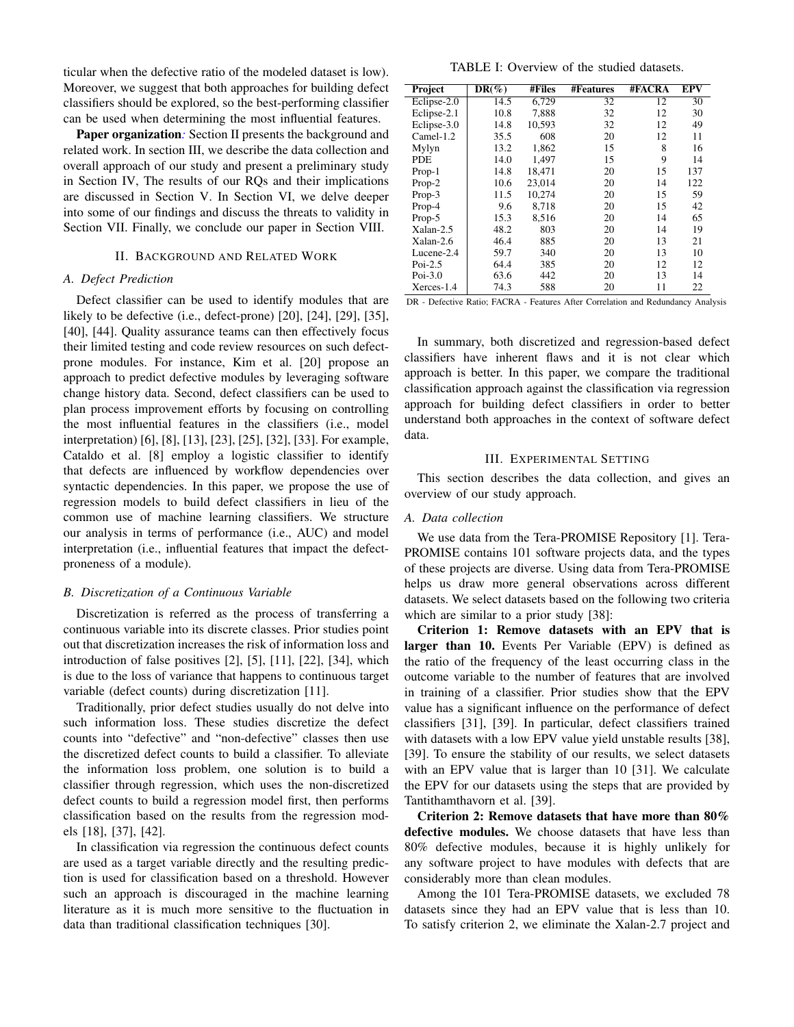ticular when the defective ratio of the modeled dataset is low). Moreover, we suggest that both approaches for building defect classifiers should be explored, so the best-performing classifier can be used when determining the most influential features.

Paper organization: Section II presents the background and related work. In section III, we describe the data collection and overall approach of our study and present a preliminary study in Section IV, The results of our RQs and their implications are discussed in Section V. In Section VI, we delve deeper into some of our findings and discuss the threats to validity in Section VII. Finally, we conclude our paper in Section VIII.

## II. BACKGROUND AND RELATED WORK

## *A. Defect Prediction*

Defect classifier can be used to identify modules that are likely to be defective (i.e., defect-prone) [20], [24], [29], [35], [40], [44]. Quality assurance teams can then effectively focus their limited testing and code review resources on such defectprone modules. For instance, Kim et al. [20] propose an approach to predict defective modules by leveraging software change history data. Second, defect classifiers can be used to plan process improvement efforts by focusing on controlling the most influential features in the classifiers (i.e., model interpretation) [6], [8], [13], [23], [25], [32], [33]. For example, Cataldo et al. [8] employ a logistic classifier to identify that defects are influenced by workflow dependencies over syntactic dependencies. In this paper, we propose the use of regression models to build defect classifiers in lieu of the common use of machine learning classifiers. We structure our analysis in terms of performance (i.e., AUC) and model interpretation (i.e., influential features that impact the defectproneness of a module).

## *B. Discretization of a Continuous Variable*

Discretization is referred as the process of transferring a continuous variable into its discrete classes. Prior studies point out that discretization increases the risk of information loss and introduction of false positives [2], [5], [11], [22], [34], which is due to the loss of variance that happens to continuous target variable (defect counts) during discretization [11].

Traditionally, prior defect studies usually do not delve into such information loss. These studies discretize the defect counts into "defective" and "non-defective" classes then use the discretized defect counts to build a classifier. To alleviate the information loss problem, one solution is to build a classifier through regression, which uses the non-discretized defect counts to build a regression model first, then performs classification based on the results from the regression models [18], [37], [42].

In classification via regression the continuous defect counts are used as a target variable directly and the resulting prediction is used for classification based on a threshold. However such an approach is discouraged in the machine learning literature as it is much more sensitive to the fluctuation in data than traditional classification techniques [30].

TABLE I: Overview of the studied datasets.

| Project     | $DR(\%)$ | #Files | <b>#Features</b> | #FACRA | EPV |
|-------------|----------|--------|------------------|--------|-----|
|             |          |        |                  |        |     |
| Eclipse-2.0 | 14.5     | 6.729  | 32               | 12     | 30  |
| Eclipse-2.1 | 10.8     | 7,888  | 32               | 12     | 30  |
| Eclipse-3.0 | 14.8     | 10,593 | 32               | 12     | 49  |
| $Camel-1.2$ | 35.5     | 608    | 20               | 12     | 11  |
| Mylyn       | 13.2     | 1,862  | 15               | 8      | 16  |
| PDE         | 14.0     | 1,497  | 15               | 9      | 14  |
| Prop-1      | 14.8     | 18.471 | 20               | 15     | 137 |
| Prop-2      | 10.6     | 23.014 | 20               | 14     | 122 |
| Prop-3      | 11.5     | 10,274 | 20               | 15     | 59  |
| Prop-4      | 9.6      | 8,718  | 20               | 15     | 42  |
| Prop-5      | 15.3     | 8,516  | 20               | 14     | 65  |
| Xalan-2.5   | 48.2     | 803    | 20               | 14     | 19  |
| Xalan-2.6   | 46.4     | 885    | 20               | 13     | 21  |
| Lucene-2.4  | 59.7     | 340    | 20               | 13     | 10  |
| Poi- $2.5$  | 64.4     | 385    | 20               | 12     | 12  |
| Poi- $3.0$  | 63.6     | 442    | 20               | 13     | 14  |
| Xerces-1.4  | 74.3     | 588    | 20               | 11     | 22  |

DR - Defective Ratio; FACRA - Features After Correlation and Redundancy Analysis

In summary, both discretized and regression-based defect classifiers have inherent flaws and it is not clear which approach is better. In this paper, we compare the traditional classification approach against the classification via regression approach for building defect classifiers in order to better understand both approaches in the context of software defect data.

#### III. EXPERIMENTAL SETTING

This section describes the data collection, and gives an overview of our study approach.

#### *A. Data collection*

We use data from the Tera-PROMISE Repository [1]. Tera-PROMISE contains 101 software projects data, and the types of these projects are diverse. Using data from Tera-PROMISE helps us draw more general observations across different datasets. We select datasets based on the following two criteria which are similar to a prior study [38]:

Criterion 1: Remove datasets with an EPV that is larger than 10. Events Per Variable (EPV) is defined as the ratio of the frequency of the least occurring class in the outcome variable to the number of features that are involved in training of a classifier. Prior studies show that the EPV value has a significant influence on the performance of defect classifiers [31], [39]. In particular, defect classifiers trained with datasets with a low EPV value yield unstable results [38], [39]. To ensure the stability of our results, we select datasets with an EPV value that is larger than 10 [31]. We calculate the EPV for our datasets using the steps that are provided by Tantithamthavorn et al. [39].

Criterion 2: Remove datasets that have more than 80% defective modules. We choose datasets that have less than 80% defective modules, because it is highly unlikely for any software project to have modules with defects that are considerably more than clean modules.

Among the 101 Tera-PROMISE datasets, we excluded 78 datasets since they had an EPV value that is less than 10. To satisfy criterion 2, we eliminate the Xalan-2.7 project and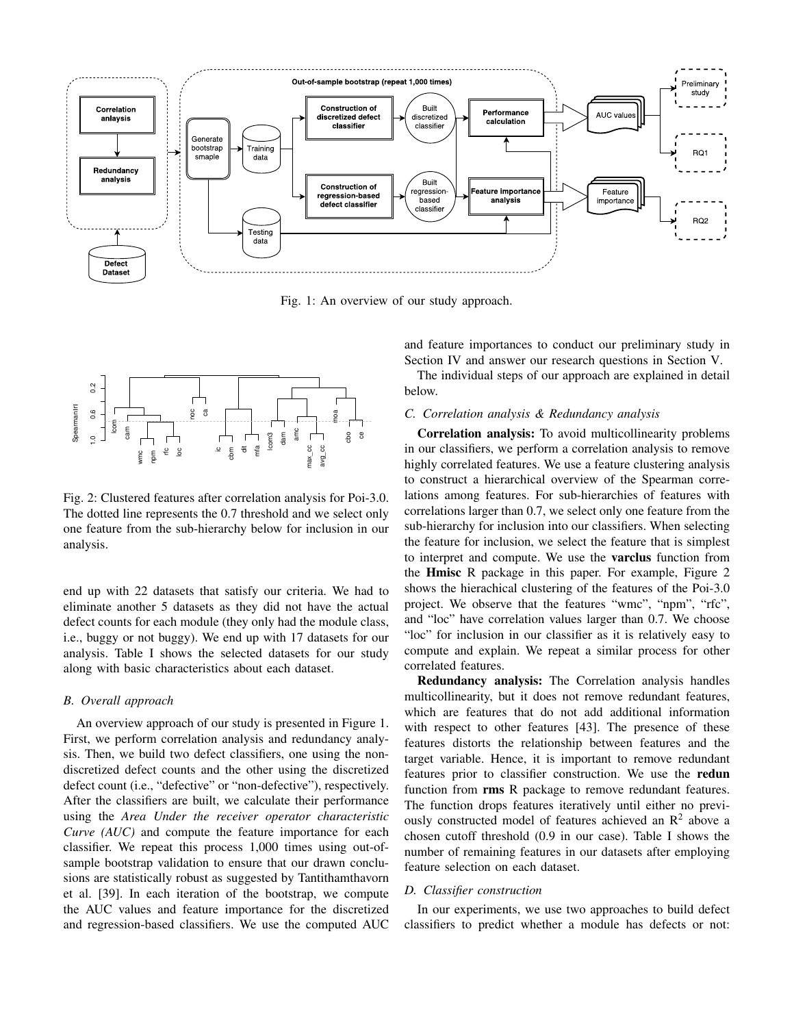

Fig. 1: An overview of our study approach.



Fig. 2: Clustered features after correlation analysis for Poi-3.0. The dotted line represents the 0.7 threshold and we select only one feature from the sub-hierarchy below for inclusion in our analysis.

end up with 22 datasets that satisfy our criteria. We had to eliminate another 5 datasets as they did not have the actual defect counts for each module (they only had the module class, i.e., buggy or not buggy). We end up with 17 datasets for our analysis. Table I shows the selected datasets for our study along with basic characteristics about each dataset.

#### *B. Overall approach*

An overview approach of our study is presented in Figure 1. First, we perform correlation analysis and redundancy analysis. Then, we build two defect classifiers, one using the nondiscretized defect counts and the other using the discretized defect count (i.e., "defective" or "non-defective"), respectively. After the classifiers are built, we calculate their performance using the *Area Under the receiver operator characteristic Curve (AUC)* and compute the feature importance for each classifier. We repeat this process 1,000 times using out-ofsample bootstrap validation to ensure that our drawn conclusions are statistically robust as suggested by Tantithamthavorn et al. [39]. In each iteration of the bootstrap, we compute the AUC values and feature importance for the discretized and regression-based classifiers. We use the computed AUC and feature importances to conduct our preliminary study in Section IV and answer our research questions in Section V.

The individual steps of our approach are explained in detail below.

## *C. Correlation analysis & Redundancy analysis*

Correlation analysis: To avoid multicollinearity problems in our classifiers, we perform a correlation analysis to remove highly correlated features. We use a feature clustering analysis to construct a hierarchical overview of the Spearman correlations among features. For sub-hierarchies of features with correlations larger than 0.7, we select only one feature from the sub-hierarchy for inclusion into our classifiers. When selecting the feature for inclusion, we select the feature that is simplest to interpret and compute. We use the varclus function from the Hmisc R package in this paper. For example, Figure 2 shows the hierachical clustering of the features of the Poi-3.0 project. We observe that the features "wmc", "npm", "rfc", and "loc" have correlation values larger than 0.7. We choose "loc" for inclusion in our classifier as it is relatively easy to compute and explain. We repeat a similar process for other correlated features.

Redundancy analysis: The Correlation analysis handles multicollinearity, but it does not remove redundant features, which are features that do not add additional information with respect to other features [43]. The presence of these features distorts the relationship between features and the target variable. Hence, it is important to remove redundant features prior to classifier construction. We use the redun function from rms R package to remove redundant features. The function drops features iteratively until either no previously constructed model of features achieved an  $\mathbb{R}^2$  above a chosen cutoff threshold (0.9 in our case). Table I shows the number of remaining features in our datasets after employing feature selection on each dataset.

#### *D. Classifier construction*

In our experiments, we use two approaches to build defect classifiers to predict whether a module has defects or not: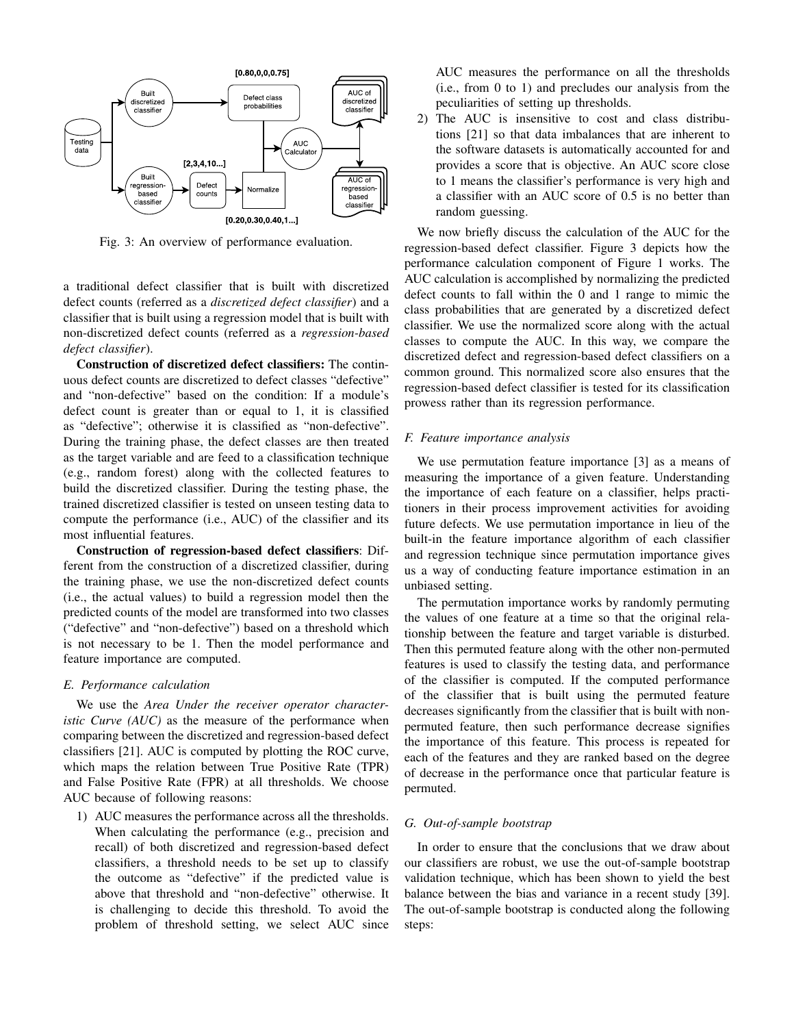

Fig. 3: An overview of performance evaluation.

a traditional defect classifier that is built with discretized defect counts (referred as a *discretized defect classifier*) and a classifier that is built using a regression model that is built with non-discretized defect counts (referred as a *regression-based defect classifier*).

Construction of discretized defect classifiers: The continuous defect counts are discretized to defect classes "defective" and "non-defective" based on the condition: If a module's defect count is greater than or equal to 1, it is classified as "defective"; otherwise it is classified as "non-defective". During the training phase, the defect classes are then treated as the target variable and are feed to a classification technique (e.g., random forest) along with the collected features to build the discretized classifier. During the testing phase, the trained discretized classifier is tested on unseen testing data to compute the performance (i.e., AUC) of the classifier and its most influential features.

Construction of regression-based defect classifiers: Different from the construction of a discretized classifier, during the training phase, we use the non-discretized defect counts (i.e., the actual values) to build a regression model then the predicted counts of the model are transformed into two classes ("defective" and "non-defective") based on a threshold which is not necessary to be 1. Then the model performance and feature importance are computed.

## *E. Performance calculation*

We use the *Area Under the receiver operator characteristic Curve (AUC)* as the measure of the performance when comparing between the discretized and regression-based defect classifiers [21]. AUC is computed by plotting the ROC curve, which maps the relation between True Positive Rate (TPR) and False Positive Rate (FPR) at all thresholds. We choose AUC because of following reasons:

1) AUC measures the performance across all the thresholds. When calculating the performance (e.g., precision and recall) of both discretized and regression-based defect classifiers, a threshold needs to be set up to classify the outcome as "defective" if the predicted value is above that threshold and "non-defective" otherwise. It is challenging to decide this threshold. To avoid the problem of threshold setting, we select AUC since

AUC measures the performance on all the thresholds (i.e., from 0 to 1) and precludes our analysis from the peculiarities of setting up thresholds.

2) The AUC is insensitive to cost and class distributions [21] so that data imbalances that are inherent to the software datasets is automatically accounted for and provides a score that is objective. An AUC score close to 1 means the classifier's performance is very high and a classifier with an AUC score of 0.5 is no better than random guessing.

We now briefly discuss the calculation of the AUC for the regression-based defect classifier. Figure 3 depicts how the performance calculation component of Figure 1 works. The AUC calculation is accomplished by normalizing the predicted defect counts to fall within the 0 and 1 range to mimic the class probabilities that are generated by a discretized defect classifier. We use the normalized score along with the actual classes to compute the AUC. In this way, we compare the discretized defect and regression-based defect classifiers on a common ground. This normalized score also ensures that the regression-based defect classifier is tested for its classification prowess rather than its regression performance.

#### *F. Feature importance analysis*

We use permutation feature importance [3] as a means of measuring the importance of a given feature. Understanding the importance of each feature on a classifier, helps practitioners in their process improvement activities for avoiding future defects. We use permutation importance in lieu of the built-in the feature importance algorithm of each classifier and regression technique since permutation importance gives us a way of conducting feature importance estimation in an unbiased setting.

The permutation importance works by randomly permuting the values of one feature at a time so that the original relationship between the feature and target variable is disturbed. Then this permuted feature along with the other non-permuted features is used to classify the testing data, and performance of the classifier is computed. If the computed performance of the classifier that is built using the permuted feature decreases significantly from the classifier that is built with nonpermuted feature, then such performance decrease signifies the importance of this feature. This process is repeated for each of the features and they are ranked based on the degree of decrease in the performance once that particular feature is permuted.

#### *G. Out-of-sample bootstrap*

In order to ensure that the conclusions that we draw about our classifiers are robust, we use the out-of-sample bootstrap validation technique, which has been shown to yield the best balance between the bias and variance in a recent study [39]. The out-of-sample bootstrap is conducted along the following steps: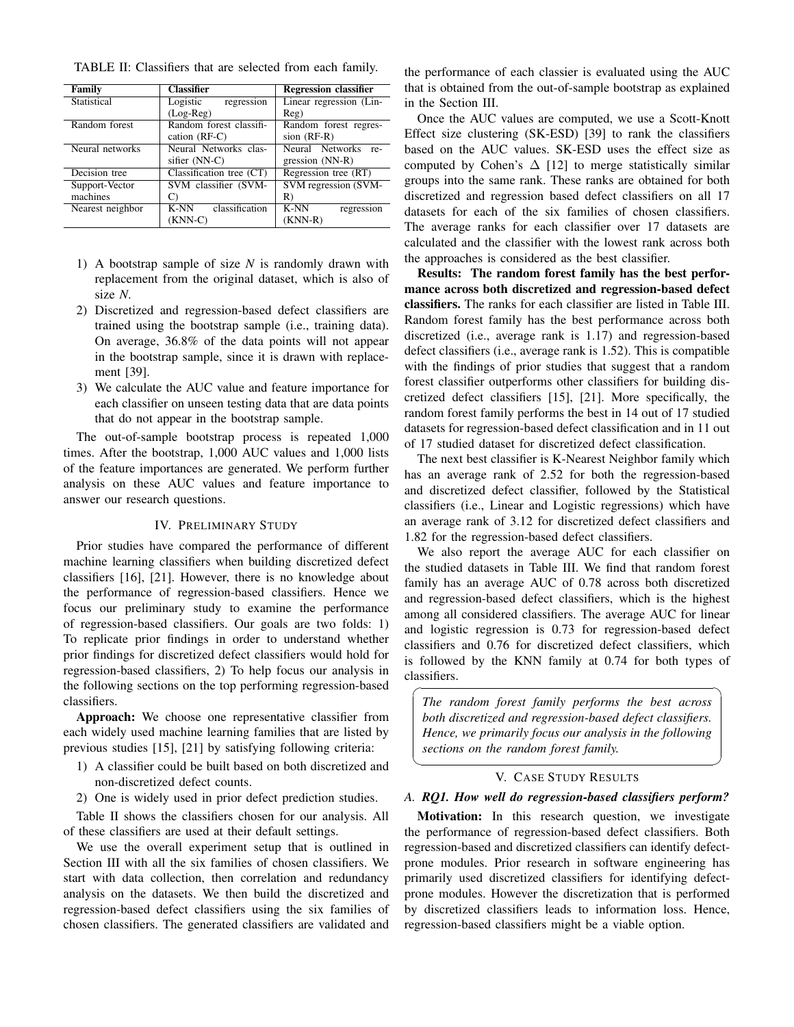| Family           | <b>Classifier</b>        | <b>Regression classifier</b> |  |  |
|------------------|--------------------------|------------------------------|--|--|
|                  |                          |                              |  |  |
| Statistical      | Logistic<br>regression   | Linear regression (Lin-      |  |  |
|                  | $(Log-Reg)$              | Reg)                         |  |  |
| Random forest    | Random forest classifi-  | Random forest regres-        |  |  |
|                  | cation (RF-C)            | sion $(RF-R)$                |  |  |
| Neural networks  | Neural Networks clas-    | Neural Networks<br>re-       |  |  |
|                  | sifier (NN-C)            | gression $(NN-R)$            |  |  |
| Decision tree    | Classification tree (CT) | Regression tree (RT)         |  |  |
| Support-Vector   | SVM classifier (SVM-     | SVM regression (SVM-         |  |  |
| machines         | C)                       | R)                           |  |  |
| Nearest neighbor | classification<br>$K-NN$ | regression<br>K-NN           |  |  |
|                  | $(KNN-C)$                | $(KNN-R)$                    |  |  |

TABLE II: Classifiers that are selected from each family.

- 1) A bootstrap sample of size *N* is randomly drawn with replacement from the original dataset, which is also of size *N*.
- 2) Discretized and regression-based defect classifiers are trained using the bootstrap sample (i.e., training data). On average, 36.8% of the data points will not appear in the bootstrap sample, since it is drawn with replacement [39].
- 3) We calculate the AUC value and feature importance for each classifier on unseen testing data that are data points that do not appear in the bootstrap sample.

The out-of-sample bootstrap process is repeated 1,000 times. After the bootstrap, 1,000 AUC values and 1,000 lists of the feature importances are generated. We perform further analysis on these AUC values and feature importance to answer our research questions.

#### IV. PRELIMINARY STUDY

Prior studies have compared the performance of different machine learning classifiers when building discretized defect classifiers [16], [21]. However, there is no knowledge about the performance of regression-based classifiers. Hence we focus our preliminary study to examine the performance of regression-based classifiers. Our goals are two folds: 1) To replicate prior findings in order to understand whether prior findings for discretized defect classifiers would hold for regression-based classifiers, 2) To help focus our analysis in the following sections on the top performing regression-based classifiers.

Approach: We choose one representative classifier from each widely used machine learning families that are listed by previous studies [15], [21] by satisfying following criteria:

- 1) A classifier could be built based on both discretized and non-discretized defect counts.
- 2) One is widely used in prior defect prediction studies.

Table II shows the classifiers chosen for our analysis. All of these classifiers are used at their default settings.

We use the overall experiment setup that is outlined in Section III with all the six families of chosen classifiers. We start with data collection, then correlation and redundancy analysis on the datasets. We then build the discretized and regression-based defect classifiers using the six families of chosen classifiers. The generated classifiers are validated and

the performance of each classier is evaluated using the AUC that is obtained from the out-of-sample bootstrap as explained in the Section III.

Once the AUC values are computed, we use a Scott-Knott Effect size clustering (SK-ESD) [39] to rank the classifiers based on the AUC values. SK-ESD uses the effect size as computed by Cohen's  $\Delta$  [12] to merge statistically similar groups into the same rank. These ranks are obtained for both discretized and regression based defect classifiers on all 17 datasets for each of the six families of chosen classifiers. The average ranks for each classifier over 17 datasets are calculated and the classifier with the lowest rank across both the approaches is considered as the best classifier.

Results: The random forest family has the best performance across both discretized and regression-based defect classifiers. The ranks for each classifier are listed in Table III. Random forest family has the best performance across both discretized (i.e., average rank is 1.17) and regression-based defect classifiers (i.e., average rank is 1.52). This is compatible with the findings of prior studies that suggest that a random forest classifier outperforms other classifiers for building discretized defect classifiers [15], [21]. More specifically, the random forest family performs the best in 14 out of 17 studied datasets for regression-based defect classification and in 11 out of 17 studied dataset for discretized defect classification.

The next best classifier is K-Nearest Neighbor family which has an average rank of 2.52 for both the regression-based and discretized defect classifier, followed by the Statistical classifiers (i.e., Linear and Logistic regressions) which have an average rank of 3.12 for discretized defect classifiers and 1.82 for the regression-based defect classifiers.

We also report the average AUC for each classifier on the studied datasets in Table III. We find that random forest family has an average AUC of 0.78 across both discretized and regression-based defect classifiers, which is the highest among all considered classifiers. The average AUC for linear and logistic regression is 0.73 for regression-based defect classifiers and 0.76 for discretized defect classifiers, which is followed by the KNN family at 0.74 for both types of classifiers. ☛ ✟

*The random forest family performs the best across both discretized and regression-based defect classifiers. Hence, we primarily focus our analysis in the following sections on the random forest family.*

# V. CASE STUDY RESULTS

✠

 $\searrow$ 

## *A. RQ1. How well do regression-based classifiers perform?*

Motivation: In this research question, we investigate the performance of regression-based defect classifiers. Both regression-based and discretized classifiers can identify defectprone modules. Prior research in software engineering has primarily used discretized classifiers for identifying defectprone modules. However the discretization that is performed by discretized classifiers leads to information loss. Hence, regression-based classifiers might be a viable option.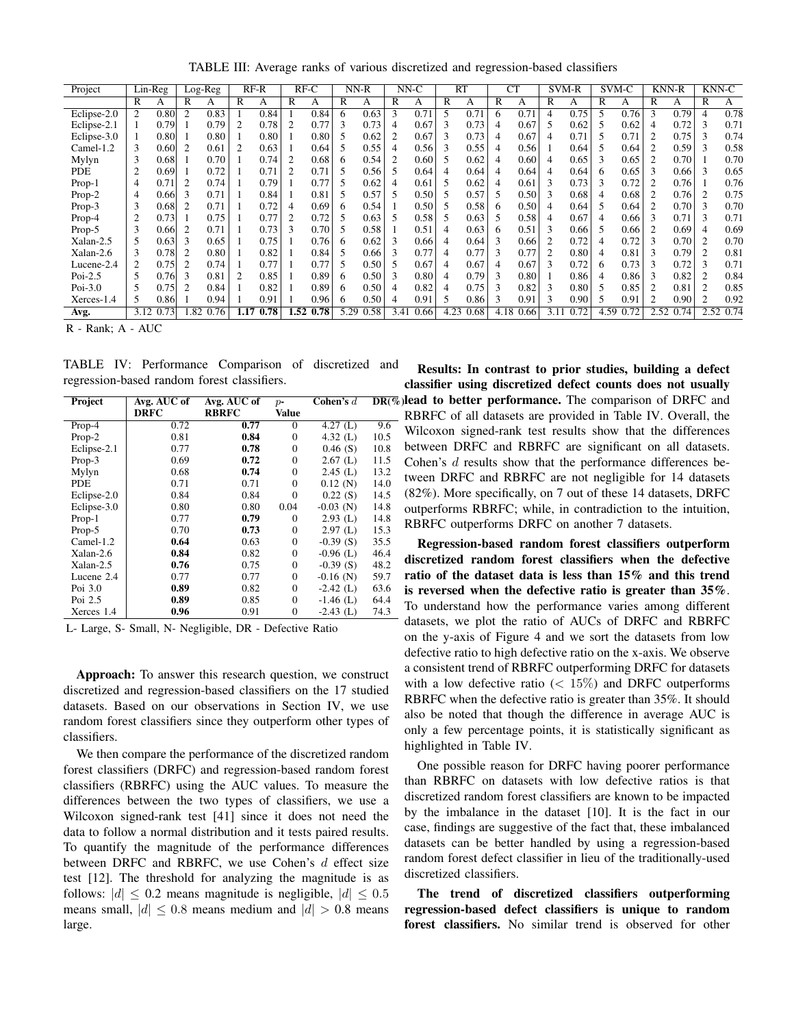TABLE III: Average ranks of various discretized and regression-based classifiers

| Project     |    | $Lin-Reg$ |      | Log-Reg |      | RF-R      |   | $RF-C$      |      | NN-R |               | $NN-C$ | RT   |      |              | <b>CT</b> | SVM-R |      |              | SVM-C | KNN-R |                       |                | KNN-C                 |
|-------------|----|-----------|------|---------|------|-----------|---|-------------|------|------|---------------|--------|------|------|--------------|-----------|-------|------|--------------|-------|-------|-----------------------|----------------|-----------------------|
|             | R  | А         | R    | А       | R    | А         | R | А           | R    | А    | R             | А      | R    | А    | R            | А         | R     | А    | R            | А     | R     | А                     | R              | А                     |
| Eclipse-2.0 |    | 0.80      |      | 0.83    |      | 0.84      |   | 0.84        | h.   | 0.63 | $\mathcal{R}$ | 0.71   | 5    | 0.71 | h.           | 0.71      | 4     | 0.75 | 5            | 0.76  |       | 0.79                  | $\overline{4}$ | 0.78                  |
| Eclipse-2.1 |    | 0.79      |      | 0.79    |      | 0.78      |   | 0.77        |      | 0.73 |               | 0.67   |      | 0.73 |              | 0.67      |       | 0.62 |              | 0.62  |       | 0.72                  |                | 0.71                  |
| Eclipse-3.0 |    | 0.80      |      | 0.80    |      | 0.80      |   | 0.80        |      | 0.62 |               | 0.67   |      | 0.73 |              | 0.67      |       | 0.71 |              | 0.71  |       | 0.75                  |                | 0.74                  |
| Camel-1.2   | 3  | 0.60      |      | 0.61    |      | 0.63      |   | 0.64        |      | 0.55 |               | 0.56   |      | 0.55 |              | 0.56      |       | 0.64 |              | 0.64  |       | 0.59                  |                | 0.58                  |
| Mylyn       | 3  | 0.68      |      | 0.70    |      | 0.74      |   | 0.68        |      | 0.54 |               | 0.60   |      | 0.62 |              | 0.60      | 4     | 0.65 |              | 0.65  |       | 0.70                  |                | 0.70                  |
| <b>PDE</b>  |    | 0.69      |      | 0.72    |      | $_{0.71}$ |   | 0.71        |      | 0.56 |               | 0.64   |      | 0.64 |              | 0.64      |       | 0.64 | h            | 0.65  |       | 0.66                  |                | 0.65                  |
| Prop-1      |    | 0.71      |      | 0.74    |      | 0.79      |   | 0.77        |      | 0.62 |               | 0.61   |      | 0.62 |              | 0.61      |       | 0.73 |              | 0.72  |       | 0.76                  |                | 0.76                  |
| Prop-2      | 4  | 0.66      |      | 0.71    |      | 0.84      |   | 0.81        |      | 0.57 |               | 0.50   |      | 0.57 |              | 0.50      |       | 0.68 |              | 0.68  |       | 0.76                  |                | 0.75                  |
| Prop-3      | 3  | 0.68      |      | 0.71    |      | 0.72      |   | 0.69        |      | 0.54 |               | 0.50   |      | 0.58 |              | 0.50      |       | 0.64 |              | 0.64  |       | 0.70                  |                | 0.70                  |
| Prop-4      |    | 0.73      |      | 0.75    |      | 0.77      |   | 0.72        |      | 0.63 |               | 0.58   |      | 0.63 |              | 0.58      |       | 0.67 |              | 0.66  |       | 0.71                  |                | 0.71                  |
| Prop-5      | 3  | 0.66      |      | 0.71    |      | 0.73      | 3 | 0.70        |      | 0.58 |               | 0.51   |      | 0.63 | <sub>6</sub> | 0.51      |       | 0.66 |              | 0.66  |       | 0.69                  |                | 0.69                  |
| Xalan-2.5   |    | 0.63      |      | 0.65    |      | 0.75      |   | 0.76        |      | 0.62 |               | 0.66   |      | 0.64 |              | 0.66      |       | 0.72 |              | 0.72  |       | 0.70                  |                | 0.70                  |
| Xalan-2.6   | 3  | 0.78      |      | 0.80    |      | 0.82      |   | 0.84        |      | 0.66 |               | 0.77   |      | 0.77 |              | 0.77      |       | 0.80 |              | 0.81  |       | 0.79                  |                | 0.81                  |
| Lucene-2.4  | 2  | 0.75      |      | 0.74    |      | 0.77      |   | 0.77        |      | 0.50 |               | 0.67   |      | 0.67 |              | 0.67      |       | 0.72 | <sub>6</sub> | 0.73  |       | 0.72                  |                | 0.71                  |
| Poi- $2.5$  |    | 0.76      |      | 0.81    |      | 0.85      |   | 0.89        |      | 0.50 |               | 0.80   |      | 0.79 |              | 0.80      |       | 0.86 |              | 0.86  |       | 0.82                  |                | 0.84                  |
| Poi- $3.0$  | 5  | 0.75      |      | 0.84    |      | 0.82      |   | 0.89        | h.   | 0.50 |               | 0.82   |      | 0.75 |              | 0.82      |       | 0.80 |              | 0.85  |       | 0.81                  |                | 0.85                  |
| Xerces-1.4  | 5. | 0.86      |      | 0.94    |      | 0.91      |   | 0.96        | h.   | 0.50 |               | 0.91   | 5    | 0.86 |              | 0.91      | 3     | 0.90 |              | 0.91  |       | 0.90                  |                | 0.92                  |
| Avg.        |    | 3.12 0.73 | 1.82 | 0.76    | 1.17 | 0.78      |   | $1.52$ 0.78 | 5.29 | 0.58 | 3.41          | 0.66   | 4.23 | 0.68 | 4.18         | 0.66      | 3.11  | 0.72 | 4.59         | 0.72  |       | $2.52\overline{0.74}$ |                | $2.52\overline{0.74}$ |

R - Rank; A - AUC

TABLE IV: Performance Comparison of discretized and regression-based random forest classifiers.

| Project     | Avg. $AUC$ of | Avg. AUC of  | $p-$         | Cohen's $d$ | $\overline{\text{DR}(\%)}$ |
|-------------|---------------|--------------|--------------|-------------|----------------------------|
|             | <b>DRFC</b>   | <b>RBRFC</b> | Value        |             |                            |
| Prop-4      | 0.72          | 0.77         | $\Omega$     | 4.27 $(L)$  | 9.6                        |
| Prop-2      | 0.81          | 0.84         | $\Omega$     | 4.32 $(L)$  | 10.5                       |
| Eclipse-2.1 | 0.77          | 0.78         | $\Omega$     | 0.46(S)     | 10.8                       |
| Prop-3      | 0.69          | 0.72         | $\mathbf{0}$ | $2.67$ (L)  | 11.5                       |
| Mylyn       | 0.68          | 0.74         | $\Omega$     | $2.45$ (L)  | 13.2                       |
| PDE         | 0.71          | 0.71         | $\mathbf{0}$ | 0.12(N)     | 14.0                       |
| Eclipse-2.0 | 0.84          | 0.84         | $\Omega$     | 0.22(S)     | 14.5                       |
| Eclipse-3.0 | 0.80          | 0.80         | 0.04         | $-0.03$ (N) | 14.8                       |
| Prop-1      | 0.77          | 0.79         | $\Omega$     | $2.93$ (L)  | 14.8                       |
| Prop-5      | 0.70          | 0.73         | $\Omega$     | $2.97$ (L)  | 15.3                       |
| $Camel-1.2$ | 0.64          | 0.63         | $\mathbf{0}$ | $-0.39(S)$  | 35.5                       |
| Xalan-2.6   | 0.84          | 0.82         | $\mathbf{0}$ | $-0.96$ (L) | 46.4                       |
| Xalan-2.5   | 0.76          | 0.75         | 0            | $-0.39(S)$  | 48.2                       |
| Lucene 2.4  | 0.77          | 0.77         | $\Omega$     | $-0.16$ (N) | 59.7                       |
| Poi 3.0     | 0.89          | 0.82         | $\theta$     | $-2.42$ (L) | 63.6                       |
| Poi 2.5     | 0.89          | 0.85         | $\Omega$     | $-1.46$ (L) | 64.4                       |
| Xerces 1.4  | 0.96          | 0.91         | $\mathbf{0}$ | $-2.43$ (L) | 74.3                       |

L- Large, S- Small, N- Negligible, DR - Defective Ratio

Approach: To answer this research question, we construct discretized and regression-based classifiers on the 17 studied datasets. Based on our observations in Section IV, we use random forest classifiers since they outperform other types of classifiers.

We then compare the performance of the discretized random forest classifiers (DRFC) and regression-based random forest classifiers (RBRFC) using the AUC values. To measure the differences between the two types of classifiers, we use a Wilcoxon signed-rank test [41] since it does not need the data to follow a normal distribution and it tests paired results. To quantify the magnitude of the performance differences between DRFC and RBRFC, we use Cohen's  $d$  effect size test [12]. The threshold for analyzing the magnitude is as follows:  $|d| < 0.2$  means magnitude is negligible,  $|d| < 0.5$ means small,  $|d| \leq 0.8$  means medium and  $|d| > 0.8$  means large.

Results: In contrast to prior studies, building a defect classifier using discretized defect counts does not usually  $\bar{b}$ )lead to better performance. The comparison of DRFC and

RBRFC of all datasets are provided in Table IV. Overall, the Wilcoxon signed-rank test results show that the differences between DRFC and RBRFC are significant on all datasets. Cohen's d results show that the performance differences between DRFC and RBRFC are not negligible for 14 datasets (82%). More specifically, on 7 out of these 14 datasets, DRFC outperforms RBRFC; while, in contradiction to the intuition, RBRFC outperforms DRFC on another 7 datasets.

Regression-based random forest classifiers outperform discretized random forest classifiers when the defective ratio of the dataset data is less than 15% and this trend is reversed when the defective ratio is greater than 35%. To understand how the performance varies among different datasets, we plot the ratio of AUCs of DRFC and RBRFC on the y-axis of Figure 4 and we sort the datasets from low defective ratio to high defective ratio on the x-axis. We observe a consistent trend of RBRFC outperforming DRFC for datasets with a low defective ratio  $(< 15\%)$  and DRFC outperforms RBRFC when the defective ratio is greater than 35%. It should also be noted that though the difference in average AUC is only a few percentage points, it is statistically significant as highlighted in Table IV.

One possible reason for DRFC having poorer performance than RBRFC on datasets with low defective ratios is that discretized random forest classifiers are known to be impacted by the imbalance in the dataset [10]. It is the fact in our case, findings are suggestive of the fact that, these imbalanced datasets can be better handled by using a regression-based random forest defect classifier in lieu of the traditionally-used discretized classifiers.

The trend of discretized classifiers outperforming regression-based defect classifiers is unique to random forest classifiers. No similar trend is observed for other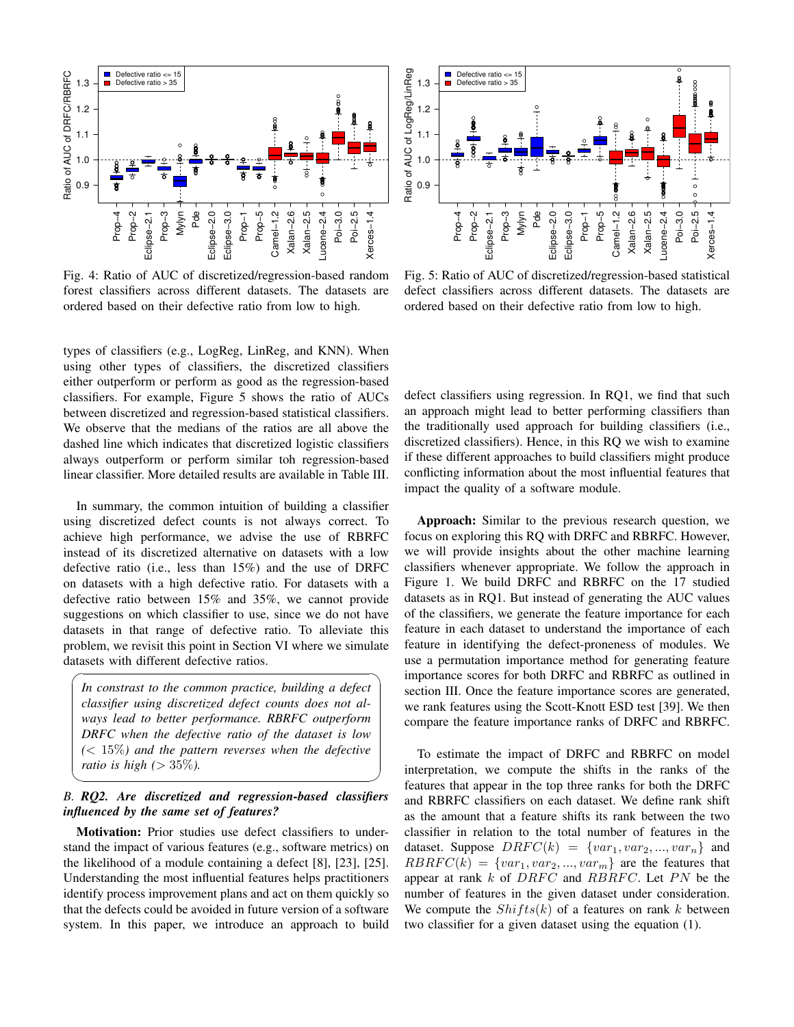

Fig. 4: Ratio of AUC of discretized/regression-based random forest classifiers across different datasets. The datasets are ordered based on their defective ratio from low to high.

types of classifiers (e.g., LogReg, LinReg, and KNN). When using other types of classifiers, the discretized classifiers either outperform or perform as good as the regression-based classifiers. For example, Figure 5 shows the ratio of AUCs between discretized and regression-based statistical classifiers. We observe that the medians of the ratios are all above the dashed line which indicates that discretized logistic classifiers always outperform or perform similar toh regression-based linear classifier. More detailed results are available in Table III.

In summary, the common intuition of building a classifier using discretized defect counts is not always correct. To achieve high performance, we advise the use of RBRFC instead of its discretized alternative on datasets with a low defective ratio (i.e., less than 15%) and the use of DRFC on datasets with a high defective ratio. For datasets with a defective ratio between 15% and 35%, we cannot provide suggestions on which classifier to use, since we do not have datasets in that range of defective ratio. To alleviate this problem, we revisit this point in Section VI where we simulate datasets with different defective ratios.  $\frac{8}{6}$   $\frac{8}{6}$   $\frac{8}{6}$   $\frac{8}{6}$   $\frac{8}{6}$   $\frac{8}{6}$   $\frac{8}{6}$   $\frac{8}{6}$   $\frac{8}{6}$   $\frac{8}{6}$   $\frac{8}{6}$   $\frac{8}{6}$   $\frac{8}{6}$   $\frac{8}{6}$   $\frac{8}{6}$   $\frac{8}{6}$   $\frac{8}{6}$   $\frac{8}{6}$   $\frac{8}{6}$   $\frac{8}{6}$   $\frac{8}{6}$   $\frac{8}{6}$ 

*In constrast to the common practice, building a defect classifier using discretized defect counts does not always lead to better performance. RBRFC outperform DRFC when the defective ratio of the dataset is low (*< 15%*) and the pattern reverses when the defective ratio is high (*> 35%*).*

 $\sqrt{2}$ 

✍

# *B. RQ2. Are discretized and regression-based classifiers influenced by the same set of features?*

Motivation: Prior studies use defect classifiers to understand the impact of various features (e.g., software metrics) on the likelihood of a module containing a defect [8], [23], [25]. Understanding the most influential features helps practitioners identify process improvement plans and act on them quickly so that the defects could be avoided in future version of a software



Fig. 5: Ratio of AUC of discretized/regression-based statistical defect classifiers across different datasets. The datasets are ordered based on their defective ratio from low to high.

defect classifiers using regression. In RQ1, we find that such an approach might lead to better performing classifiers than the traditionally used approach for building classifiers (i.e., discretized classifiers). Hence, in this RQ we wish to examine if these different approaches to build classifiers might produce conflicting information about the most influential features that impact the quality of a software module.

Approach: Similar to the previous research question, we focus on exploring this RQ with DRFC and RBRFC. However, we will provide insights about the other machine learning classifiers whenever appropriate. We follow the approach in Figure 1. We build DRFC and RBRFC on the 17 studied datasets as in RQ1. But instead of generating the AUC values of the classifiers, we generate the feature importance for each feature in each dataset to understand the importance of each feature in identifying the defect-proneness of modules. We use a permutation importance method for generating feature importance scores for both DRFC and RBRFC as outlined in section III. Once the feature importance scores are generated, we rank features using the Scott-Knott ESD test [39]. We then compare the feature importance ranks of DRFC and RBRFC.

To estimate the impact of DRFC and RBRFC on model interpretation, we compute the shifts in the ranks of the features that appear in the top three ranks for both the DRFC and RBRFC classifiers on each dataset. We define rank shift as the amount that a feature shifts its rank between the two classifier in relation to the total number of features in the dataset. Suppose  $DRFC(k) = \{var_1, var_2, ..., var_n\}$  and  $RBRFC(k) = \{var_1, var_2, ..., var_m\}$  are the features that appear at rank  $k$  of DRFC and RBRFC. Let PN be the number of features in the given dataset under consideration. We compute the  $Shifts(k)$  of a features on rank k between two classifier for a given dataset using the equation (1).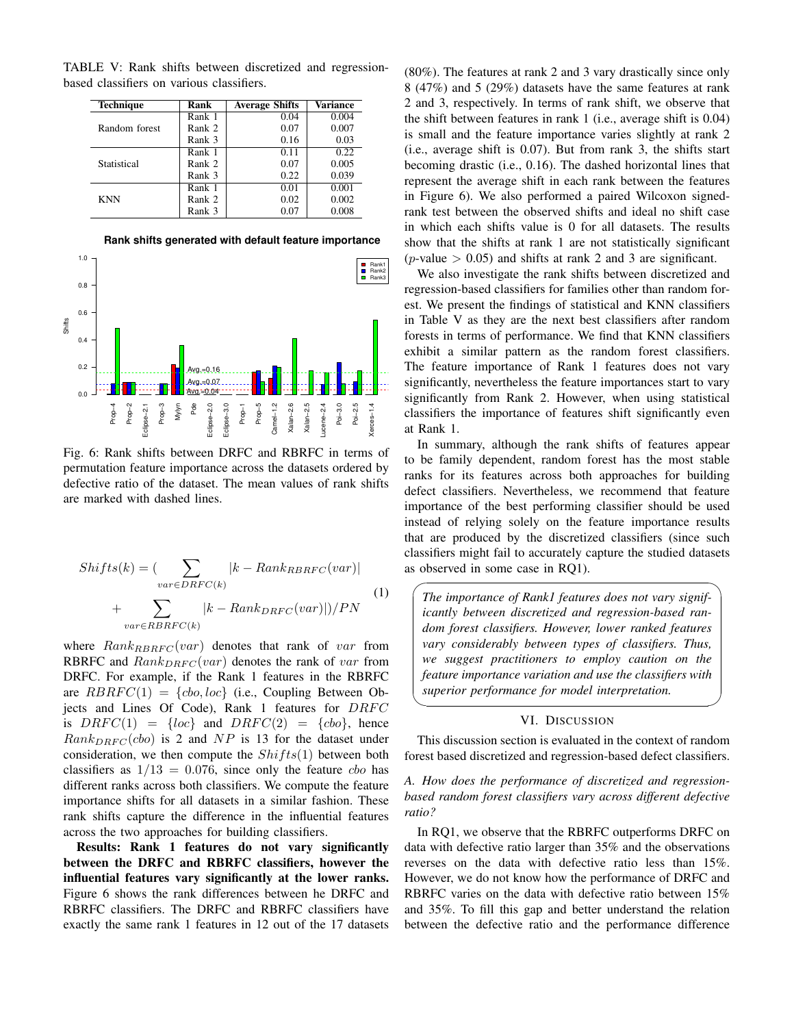| <b>Technique</b> | Rank   | <b>Average Shifts</b> | Variance |
|------------------|--------|-----------------------|----------|
|                  | Rank 1 | 0.04                  | 0.004    |
| Random forest    | Rank 2 | 0.07                  | 0.007    |
|                  | Rank 3 | 0.16                  | 0.03     |
|                  | Rank 1 | 0.11                  | 0.22     |
| Statistical      | Rank 2 | 0.07                  | 0.005    |
|                  | Rank 3 | 0.22                  | 0.039    |
|                  | Rank 1 | 0.01                  | 0.001    |
| KNN              | Rank 2 | 0.02                  | 0.002    |
|                  | Rank 3 | 0.07                  | 0.008    |

TABLE V: Rank shifts between discretized and regressionbased classifiers on various classifiers.

Rank shifts generated with default feature importance



Fig. 6: Rank shifts between DRFC and RBRFC in terms of permutation feature importance across the datasets ordered by defective ratio of the dataset. The mean values of rank shifts are marked with dashed lines.

$$
Shifts(k) = (\sum_{var \in DRFC(k)} |k - Rank_{RBRFC}(var)| + \sum_{var \in RBRFC(k)} |k - Rank_{DRFC}(var)|)/PN
$$
\n(1)

where  $Rank_{RBRFC}(var)$  denotes that rank of var from RBRFC and  $Rank_{DRFC}(var)$  denotes the rank of var from DRFC. For example, if the Rank 1 features in the RBRFC are  $RBRFC(1) = \{cbo, loc\}$  (i.e., Coupling Between Objects and Lines Of Code), Rank 1 features for  $DRFC$ is  $DRFC(1) = \{loc\}$  and  $DRFC(2) = \{cba\}$ , hence  $Rank_{DRFC}(cbo)$  is 2 and NP is 13 for the dataset under consideration, we then compute the  $Shifts(1)$  between both classifiers as  $1/13 = 0.076$ , since only the feature *cbo* has different ranks across both classifiers. We compute the feature importance shifts for all datasets in a similar fashion. These rank shifts capture the difference in the influential features across the two approaches for building classifiers.

Results: Rank 1 features do not vary significantly between the DRFC and RBRFC classifiers, however the influential features vary significantly at the lower ranks. Figure 6 shows the rank differences between he DRFC and RBRFC classifiers. The DRFC and RBRFC classifiers have exactly the same rank 1 features in 12 out of the 17 datasets

(80%). The features at rank 2 and 3 vary drastically since only 8 (47%) and 5 (29%) datasets have the same features at rank 2 and 3, respectively. In terms of rank shift, we observe that the shift between features in rank 1 (i.e., average shift is 0.04) is small and the feature importance varies slightly at rank 2 (i.e., average shift is 0.07). But from rank 3, the shifts start becoming drastic (i.e., 0.16). The dashed horizontal lines that represent the average shift in each rank between the features in Figure 6). We also performed a paired Wilcoxon signedrank test between the observed shifts and ideal no shift case in which each shifts value is 0 for all datasets. The results show that the shifts at rank 1 are not statistically significant  $(p$ -value  $> 0.05$ ) and shifts at rank 2 and 3 are significant.

We also investigate the rank shifts between discretized and regression-based classifiers for families other than random forest. We present the findings of statistical and KNN classifiers in Table V as they are the next best classifiers after random forests in terms of performance. We find that KNN classifiers exhibit a similar pattern as the random forest classifiers. The feature importance of Rank 1 features does not vary significantly, nevertheless the feature importances start to vary significantly from Rank 2. However, when using statistical classifiers the importance of features shift significantly even at Rank 1.

In summary, although the rank shifts of features appear to be family dependent, random forest has the most stable ranks for its features across both approaches for building defect classifiers. Nevertheless, we recommend that feature importance of the best performing classifier should be used instead of relying solely on the feature importance results that are produced by the discretized classifiers (since such classifiers might fail to accurately capture the studied datasets as observed in some case in RQ1).

*The importance of Rank1 features does not vary significantly between discretized and regression-based random forest classifiers. However, lower ranked features vary considerably between types of classifiers. Thus, we suggest practitioners to employ caution on the feature importance variation and use the classifiers with superior performance for model interpretation.*

 $\overline{a}$ 

✒

## VI. DISCUSSION

This discussion section is evaluated in the context of random forest based discretized and regression-based defect classifiers.

*A. How does the performance of discretized and regressionbased random forest classifiers vary across different defective ratio?*

In RQ1, we observe that the RBRFC outperforms DRFC on data with defective ratio larger than 35% and the observations reverses on the data with defective ratio less than 15%. However, we do not know how the performance of DRFC and RBRFC varies on the data with defective ratio between 15% and 35%. To fill this gap and better understand the relation between the defective ratio and the performance difference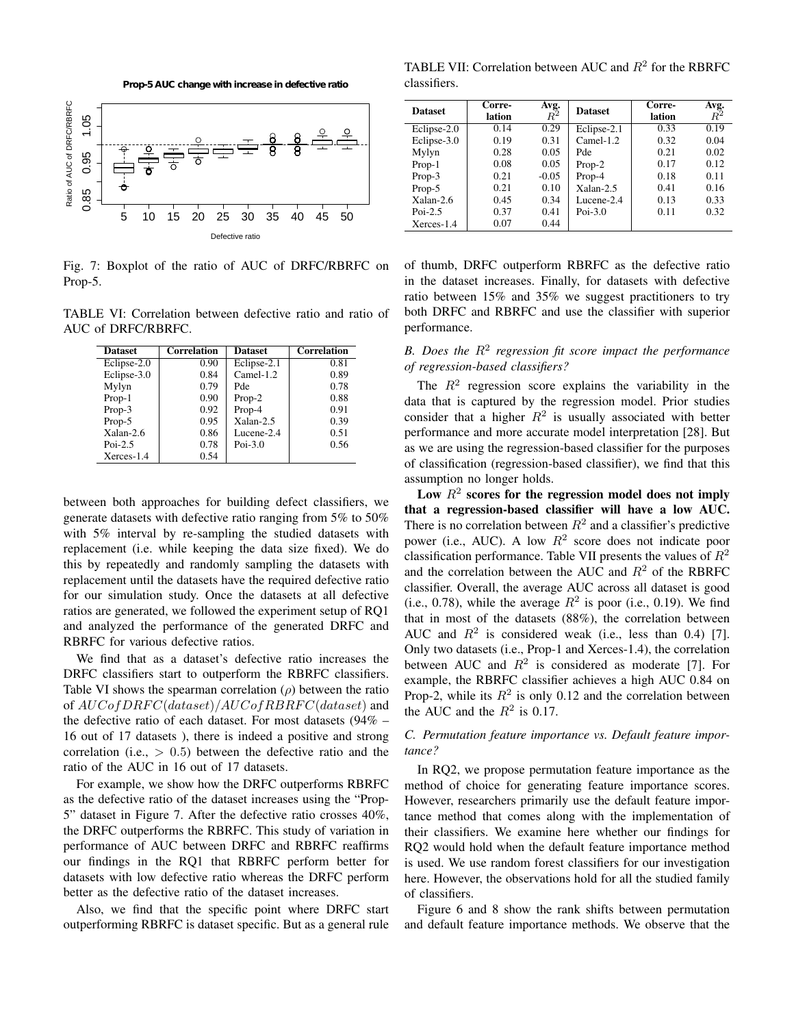**Prop-5 AUC change with increase in defective ratio**



Fig. 7: Boxplot of the ratio of AUC of DRFC/RBRFC on Prop-5.

TABLE VI: Correlation between defective ratio and ratio of AUC of DRFC/RBRFC.

| <b>Dataset</b> | <b>Correlation</b> | <b>Dataset</b> | Correlation |
|----------------|--------------------|----------------|-------------|
| Eclipse-2.0    | 0.90               | Eclipse-2.1    | 0.81        |
| Eclipse-3.0    | 0.84               | Camel-1.2      | 0.89        |
| Mylyn          | 0.79               | Pde            | 0.78        |
| $Prop-1$       | 0.90               | $Prop-2$       | 0.88        |
| Prop-3         | 0.92               | Prop-4         | 0.91        |
| Prop-5         | 0.95               | Xalan-2.5      | 0.39        |
| $X$ alan-2.6   | 0.86               | Lucene-2.4     | 0.51        |
| Poi- $2.5$     | 0.78               | $Poi-3.0$      | 0.56        |
| Xerces-1.4     | 0.54               |                |             |

between both approaches for building defect classifiers, we generate datasets with defective ratio ranging from 5% to 50% with 5% interval by re-sampling the studied datasets with replacement (i.e. while keeping the data size fixed). We do this by repeatedly and randomly sampling the datasets with replacement until the datasets have the required defective ratio for our simulation study. Once the datasets at all defective ratios are generated, we followed the experiment setup of RQ1 and analyzed the performance of the generated DRFC and RBRFC for various defective ratios.

We find that as a dataset's defective ratio increases the DRFC classifiers start to outperform the RBRFC classifiers. Table VI shows the spearman correlation  $(\rho)$  between the ratio of  $AUC of DRFC (dataset) / AUC of RBRFC (dataset)$  and the defective ratio of each dataset. For most datasets (94% – 16 out of 17 datasets ), there is indeed a positive and strong correlation (i.e.,  $> 0.5$ ) between the defective ratio and the ratio of the AUC in 16 out of 17 datasets.

For example, we show how the DRFC outperforms RBRFC as the defective ratio of the dataset increases using the "Prop-5" dataset in Figure 7. After the defective ratio crosses 40%, the DRFC outperforms the RBRFC. This study of variation in performance of AUC between DRFC and RBRFC reaffirms our findings in the RQ1 that RBRFC perform better for datasets with low defective ratio whereas the DRFC perform better as the defective ratio of the dataset increases.

Also, we find that the specific point where DRFC start outperforming RBRFC is dataset specific. But as a general rule

TABLE VII: Correlation between AUC and  $R^2$  for the RBRFC classifiers.

| <b>Dataset</b> | Corre-<br>lation | Avg.<br>$R^2$ | <b>Dataset</b> | Corre-<br>lation | Avg.<br>$\,R^2$ |
|----------------|------------------|---------------|----------------|------------------|-----------------|
| Eclipse-2.0    | 0.14             | 0.29          | Eclipse-2.1    | 0.33             | 0.19            |
| Eclipse-3.0    | 0.19             | 0.31          | $C$ amel-1.2   | 0.32             | 0.04            |
| Mylyn          | 0.28             | 0.05          | Pde            | 0.21             | 0.02            |
| Prop-1         | 0.08             | 0.05          | Prop-2         | 0.17             | 0.12            |
| Prop-3         | 0.21             | $-0.05$       | Prop-4         | 0.18             | 0.11            |
| Prop-5         | 0.21             | 0.10          | $Xalan-2.5$    | 0.41             | 0.16            |
| $X$ alan-2.6   | 0.45             | 0.34          | Lucene-2.4     | 0.13             | 0.33            |
| $Poi-2.5$      | 0.37             | 0.41          | $Poi-3.0$      | 0.11             | 0.32            |
| Xerces-1.4     | 0.07             | 0.44          |                |                  |                 |

of thumb, DRFC outperform RBRFC as the defective ratio in the dataset increases. Finally, for datasets with defective ratio between 15% and 35% we suggest practitioners to try both DRFC and RBRFC and use the classifier with superior performance.

# *B. Does the* R<sup>2</sup> *regression fit score impact the performance of regression-based classifiers?*

The  $R^2$  regression score explains the variability in the data that is captured by the regression model. Prior studies consider that a higher  $R^2$  is usually associated with better performance and more accurate model interpretation [28]. But as we are using the regression-based classifier for the purposes of classification (regression-based classifier), we find that this assumption no longer holds.

Low  $R^2$  scores for the regression model does not imply that a regression-based classifier will have a low AUC. There is no correlation between  $R^2$  and a classifier's predictive power (i.e., AUC). A low  $R^2$  score does not indicate poor classification performance. Table VII presents the values of  $R^2$ and the correlation between the AUC and  $R^2$  of the RBRFC classifier. Overall, the average AUC across all dataset is good (i.e., 0.78), while the average  $R^2$  is poor (i.e., 0.19). We find that in most of the datasets (88%), the correlation between AUC and  $R^2$  is considered weak (i.e., less than 0.4) [7]. Only two datasets (i.e., Prop-1 and Xerces-1.4), the correlation between AUC and  $R^2$  is considered as moderate [7]. For example, the RBRFC classifier achieves a high AUC 0.84 on Prop-2, while its  $R^2$  is only 0.12 and the correlation between the AUC and the  $R^2$  is 0.17.

# *C. Permutation feature importance vs. Default feature importance?*

In RQ2, we propose permutation feature importance as the method of choice for generating feature importance scores. However, researchers primarily use the default feature importance method that comes along with the implementation of their classifiers. We examine here whether our findings for RQ2 would hold when the default feature importance method is used. We use random forest classifiers for our investigation here. However, the observations hold for all the studied family of classifiers.

Figure 6 and 8 show the rank shifts between permutation and default feature importance methods. We observe that the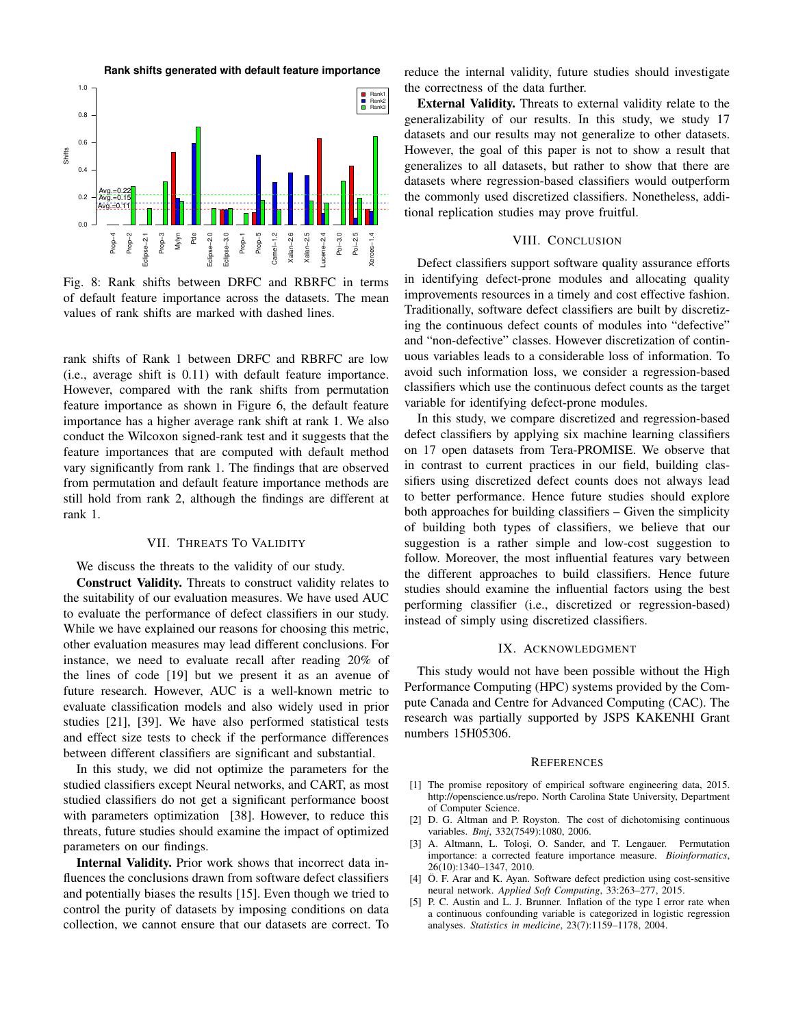Rank shifts generated with default feature importance



Fig. 8: Rank shifts between DRFC and RBRFC in terms of default feature importance across the datasets. The mean values of rank shifts are marked with dashed lines.

rank shifts of Rank 1 between DRFC and RBRFC are low (i.e., average shift is 0.11) with default feature importance. However, compared with the rank shifts from permutation feature importance as shown in Figure 6, the default feature importance has a higher average rank shift at rank 1. We also conduct the Wilcoxon signed-rank test and it suggests that the feature importances that are computed with default method vary significantly from rank 1. The findings that are observed from permutation and default feature importance methods are still hold from rank 2, although the findings are different at rank 1.

#### VII. THREATS TO VALIDITY

We discuss the threats to the validity of our study.

Construct Validity. Threats to construct validity relates to the suitability of our evaluation measures. We have used AUC to evaluate the performance of defect classifiers in our study. While we have explained our reasons for choosing this metric, other evaluation measures may lead different conclusions. For instance, we need to evaluate recall after reading 20% of the lines of code [19] but we present it as an avenue of future research. However, AUC is a well-known metric to evaluate classification models and also widely used in prior studies [21], [39]. We have also performed statistical tests and effect size tests to check if the performance differences between different classifiers are significant and substantial.

In this study, we did not optimize the parameters for the studied classifiers except Neural networks, and CART, as most studied classifiers do not get a significant performance boost with parameters optimization [38]. However, to reduce this threats, future studies should examine the impact of optimized parameters on our findings.

Internal Validity. Prior work shows that incorrect data influences the conclusions drawn from software defect classifiers and potentially biases the results [15]. Even though we tried to control the purity of datasets by imposing conditions on data collection, we cannot ensure that our datasets are correct. To reduce the internal validity, future studies should investigate the correctness of the data further.

External Validity. Threats to external validity relate to the generalizability of our results. In this study, we study 17 datasets and our results may not generalize to other datasets. However, the goal of this paper is not to show a result that generalizes to all datasets, but rather to show that there are datasets where regression-based classifiers would outperform the commonly used discretized classifiers. Nonetheless, additional replication studies may prove fruitful.

#### VIII. CONCLUSION

Defect classifiers support software quality assurance efforts in identifying defect-prone modules and allocating quality improvements resources in a timely and cost effective fashion. Traditionally, software defect classifiers are built by discretizing the continuous defect counts of modules into "defective" and "non-defective" classes. However discretization of continuous variables leads to a considerable loss of information. To avoid such information loss, we consider a regression-based classifiers which use the continuous defect counts as the target variable for identifying defect-prone modules.

In this study, we compare discretized and regression-based defect classifiers by applying six machine learning classifiers on 17 open datasets from Tera-PROMISE. We observe that in contrast to current practices in our field, building classifiers using discretized defect counts does not always lead to better performance. Hence future studies should explore both approaches for building classifiers – Given the simplicity of building both types of classifiers, we believe that our suggestion is a rather simple and low-cost suggestion to follow. Moreover, the most influential features vary between the different approaches to build classifiers. Hence future studies should examine the influential factors using the best performing classifier (i.e., discretized or regression-based) instead of simply using discretized classifiers.

#### IX. ACKNOWLEDGMENT

This study would not have been possible without the High Performance Computing (HPC) systems provided by the Compute Canada and Centre for Advanced Computing (CAC). The research was partially supported by JSPS KAKENHI Grant numbers 15H05306.

#### **REFERENCES**

- [1] The promise repository of empirical software engineering data, 2015. http://openscience.us/repo. North Carolina State University, Department of Computer Science.
- [2] D. G. Altman and P. Royston. The cost of dichotomising continuous variables. *Bmj*, 332(7549):1080, 2006.
- [3] A. Altmann, L. Toloşi, O. Sander, and T. Lengauer. Permutation importance: a corrected feature importance measure. *Bioinformatics*, 26(10):1340–1347, 2010.
- [4] Ö. F. Arar and K. Ayan. Software defect prediction using cost-sensitive neural network. *Applied Soft Computing*, 33:263–277, 2015.
- [5] P. C. Austin and L. J. Brunner. Inflation of the type I error rate when a continuous confounding variable is categorized in logistic regression analyses. *Statistics in medicine*, 23(7):1159–1178, 2004.